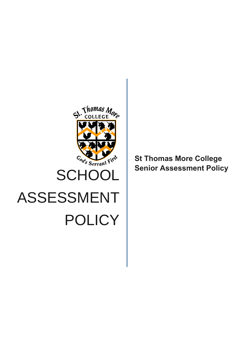

**St Thomas More College Senior Assessment Policy**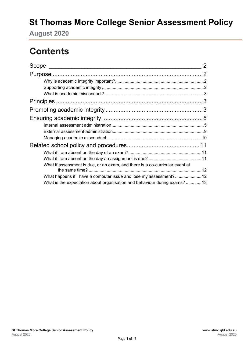# **St Thomas More College Senior Assessment Policy**

**August 2020**

# **Contents**

| Scope                                                                        | 2 |
|------------------------------------------------------------------------------|---|
|                                                                              |   |
|                                                                              |   |
|                                                                              |   |
|                                                                              |   |
|                                                                              |   |
|                                                                              |   |
|                                                                              |   |
|                                                                              |   |
|                                                                              |   |
|                                                                              |   |
|                                                                              |   |
|                                                                              |   |
|                                                                              |   |
| What if assessment is due, or an exam, and there is a co-curricular event at |   |
| What happens if I have a computer issue and lose my assessment?12            |   |
| What is the expectation about organisation and behaviour during exams? 13    |   |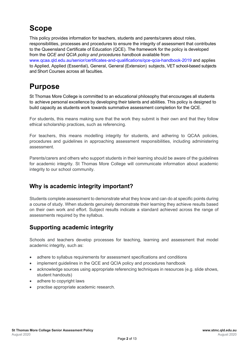# <span id="page-2-0"></span>**Scope**

This policy provides information for teachers, students and parents/carers about roles, responsibilities, processes and procedures to ensure the integrity of assessment that contributes to the Queensland Certificate of Education (QCE). The framework for the policy is developed from the *QCE and QCIA policy and procedures handbook* available from [www.qcaa.qld.edu.au/senior/certificates-and-qualifications/qce-qcia-handbook-2019](https://www.qcaa.qld.edu.au/senior/certificates-and-qualifications/qce-qcia-handbook-2019) and applies to Applied, Applied (Essential), General, General (Extension) subjects, VET school-based subjects and Short Courses across all faculties.

# <span id="page-2-1"></span>**Purpose**

St Thomas More College is committed to an educational philosophy that encourages all students to achieve personal excellence by developing their talents and abilities. This policy is designed to build capacity as students work towards summative assessment completion for the QCE.

For students, this means making sure that the work they submit is their own and that they follow ethical scholarship practices, such as referencing.

For teachers, this means modelling integrity for students, and adhering to QCAA policies, procedures and guidelines in approaching assessment responsibilities, including administering assessment.

Parents/carers and others who support students in their learning should be aware of the guidelines for academic integrity. St Thomas More College will communicate information about academic integrity to our school community.

### <span id="page-2-2"></span>**Why is academic integrity important?**

Students complete assessment to demonstrate what they know and can do at specific points during a course of study. When students genuinely demonstrate their learning they achieve results based on their own work and effort. Subject results indicate a standard achieved across the range of assessments required by the syllabus.

### <span id="page-2-3"></span>**Supporting academic integrity**

Schools and teachers develop processes for teaching, learning and assessment that model academic integrity, such as:

- adhere to syllabus requirements for assessment specifications and conditions
- implement guidelines in the QCE and QCIA policy and procedures handbook
- acknowledge sources using appropriate referencing techniques in resources (e.g. slide shows, student handouts)
- adhere to copyright laws
- practise appropriate academic research.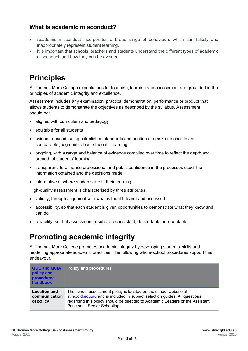#### <span id="page-3-0"></span>**What is academic misconduct?**

- Academic misconduct incorporates a broad range of behaviours which can falsely and inappropriately represent student learning.
- It is important that schools, teachers and students understand the different types of academic misconduct, and how they can be avoided.

# <span id="page-3-1"></span>**Principles**

St Thomas More College expectations for teaching, learning and assessment are grounded in the principles of academic integrity and excellence.

Assessment includes any examination, practical demonstration, performance or product that allows students to demonstrate the objectives as described by the syllabus. Assessment should be:

- aligned with curriculum and pedagogy
- equitable for all students
- evidence-based, using established standards and continua to make defensible and comparable judgments about students' learning
- ongoing, with a range and balance of evidence compiled over time to reflect the depth and breadth of students' learning
- transparent, to enhance professional and public confidence in the processes used, the information obtained and the decisions made
- informative of where students are in their learning.

High-quality assessment is characterised by three attributes:

- validity, through alignment with what is taught, learnt and assessed
- accessibility, so that each student is given opportunities to demonstrate what they know and can do
- reliability, so that assessment results are consistent, dependable or repeatable.

### <span id="page-3-2"></span>**Promoting academic integrity**

St Thomas More College promotes academic integrity by developing students' skills and modelling appropriate academic practices. The following whole-school procedures support this endeavour.

| <b>QCE and QCIA</b><br>policy and<br><b>procedures</b><br>handbook | <b>Policy and procedures</b>                                                                                                                                                                                                                                     |
|--------------------------------------------------------------------|------------------------------------------------------------------------------------------------------------------------------------------------------------------------------------------------------------------------------------------------------------------|
| <b>Location and</b><br>communication<br>of policy                  | The school assessment policy is located on the school website at<br>stmc.qld.edu.au and is included in subject selection guides. All questions<br>regarding this policy should be directed to Academic Leaders or the Assistant<br>Principal - Senior Schooling. |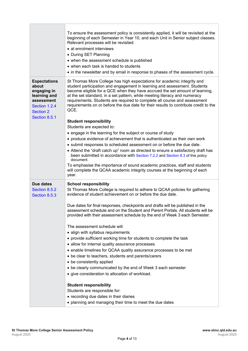|                                                                                                                                 | To ensure the assessment policy is consistently applied, it will be revisited at the<br>beginning of each Semester in Year 10, and each Unit in Senior subject classes.<br>Relevant processes will be revisited:<br>• at enrolment interviews<br>• During SET Planning<br>• when the assessment schedule is published<br>• when each task is handed to students<br>• in the newsletter and by email in response to phases of the assessment cycle.                                                                                                                                                                                                                                                                                                                                                                                                                                                                                                                                                                                                                                                                                           |
|---------------------------------------------------------------------------------------------------------------------------------|----------------------------------------------------------------------------------------------------------------------------------------------------------------------------------------------------------------------------------------------------------------------------------------------------------------------------------------------------------------------------------------------------------------------------------------------------------------------------------------------------------------------------------------------------------------------------------------------------------------------------------------------------------------------------------------------------------------------------------------------------------------------------------------------------------------------------------------------------------------------------------------------------------------------------------------------------------------------------------------------------------------------------------------------------------------------------------------------------------------------------------------------|
| <b>Expectations</b><br>about<br>engaging in<br>learning and<br>assessment<br>Section 1.2.4<br><b>Section 2</b><br>Section 8.5.1 | St Thomas More College has high expectations for academic integrity and<br>student participation and engagement in learning and assessment. Students<br>become eligible for a QCE when they have accrued the set amount of learning,<br>at the set standard, in a set pattern, while meeting literacy and numeracy<br>requirements. Students are required to complete all course and assessment<br>requirements on or before the due date for their results to contribute credit to the<br>QCE.<br><b>Student responsibility</b><br>Students are expected to:<br>• engage in the learning for the subject or course of study<br>• produce evidence of achievement that is authenticated as their own work<br>• submit responses to scheduled assessment on or before the due date.<br>• Attend the "draft catch up" room as directed to ensure a satisfactory draft has<br>been submitted in accordance with Section 7.2.2 and Section 8.3 of this policy<br>document.<br>To emphasise the importance of sound academic practices, staff and students<br>will complete the QCAA academic integrity courses at the beginning of each<br>year. |
| Due dates<br>Section 8.5.2<br>Section 8.5.3                                                                                     | <b>School responsibility</b><br>St Thomas More College is required to adhere to QCAA policies for gathering<br>evidence of student achievement on or before the due date.<br>Due dates for final responses, checkpoints and drafts will be published in the<br>assessment schedule and on the Student and Parent Portals. All students will be<br>provided with their assessment schedule by the end of Week 3 each Semester.<br>The assessment schedule will:<br>• align with syllabus requirements<br>• provide sufficient working time for students to complete the task<br>• allow for internal quality assurance processes<br>• enable timelines for QCAA quality assurance processes to be met<br>• be clear to teachers, students and parents/carers<br>• be consistently applied<br>• be clearly communicated by the end of Week 3 each semester<br>• give consideration to allocation of workload.<br><b>Student responsibility</b><br>Students are responsible for:<br>• recording due dates in their diaries<br>• planning and managing their time to meet the due dates                                                          |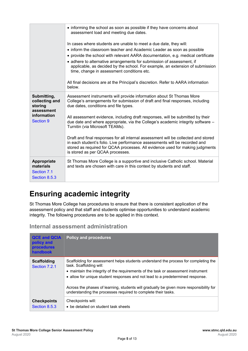|                                                                                           | • informing the school as soon as possible if they have concerns about<br>assessment load and meeting due dates.                                                                                                                                                                                                                                                                                                                       |  |  |
|-------------------------------------------------------------------------------------------|----------------------------------------------------------------------------------------------------------------------------------------------------------------------------------------------------------------------------------------------------------------------------------------------------------------------------------------------------------------------------------------------------------------------------------------|--|--|
|                                                                                           | In cases where students are unable to meet a due date, they will:<br>• inform the classroom teacher and Academic Leader as soon as possible<br>• provide the school with relevant AARA documentation, e.g. medical certificate<br>• adhere to alternative arrangements for submission of assessment, if<br>applicable, as decided by the school. For example, an extension of submission<br>time, change in assessment conditions etc. |  |  |
|                                                                                           | All final decisions are at the Principal's discretion. Refer to AARA information<br>below.                                                                                                                                                                                                                                                                                                                                             |  |  |
| Submitting,<br>collecting and<br>storing<br>assessment<br>information<br><b>Section 9</b> | Assessment instruments will provide information about St Thomas More<br>College's arrangements for submission of draft and final responses, including<br>due dates, conditions and file types.                                                                                                                                                                                                                                         |  |  |
|                                                                                           | All assessment evidence, including draft responses, will be submitted by their<br>due date and where appropriate, via the College's academic integrity software -<br>Turnitin (via Microsoft TEAMs).                                                                                                                                                                                                                                   |  |  |
|                                                                                           | Draft and final responses for all internal assessment will be collected and stored<br>in each student's folio. Live performance assessments will be recorded and<br>stored as required for QCAA processes. All evidence used for making judgments<br>is stored as per QCAA processes.                                                                                                                                                  |  |  |
| Appropriate<br>materials<br>Section 7.1<br>Section 8.5.3                                  | St Thomas More College is a supportive and inclusive Catholic school. Material<br>and texts are chosen with care in this context by students and staff.                                                                                                                                                                                                                                                                                |  |  |

# <span id="page-5-0"></span>**Ensuring academic integrity**

St Thomas More College has procedures to ensure that there is consistent application of the assessment policy and that staff and students optimise opportunities to understand academic integrity. The following procedures are to be applied in this context.

<span id="page-5-1"></span>**Internal assessment administration**

| <b>QCE and QCIA</b><br>policy and<br><b>procedures</b><br>handbook | <b>Policy and procedures</b>                                                                                                                                                                                                                                                                                                                                                                                                                      |
|--------------------------------------------------------------------|---------------------------------------------------------------------------------------------------------------------------------------------------------------------------------------------------------------------------------------------------------------------------------------------------------------------------------------------------------------------------------------------------------------------------------------------------|
| <b>Scaffolding</b><br>Section 7.2.1                                | Scaffolding for assessment helps students understand the process for completing the<br>task. Scaffolding will:<br>• maintain the integrity of the requirements of the task or assessment instrument<br>• allow for unique student responses and not lead to a predetermined response.<br>Across the phases of learning, students will gradually be given more responsibility for<br>understanding the processes required to complete their tasks. |
| <b>Checkpoints</b><br>Section 8.5.3                                | Checkpoints will:<br>• be detailed on student task sheets                                                                                                                                                                                                                                                                                                                                                                                         |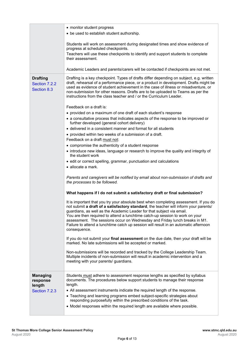|                                                 | • monitor student progress<br>• be used to establish student authorship.                                                                                                                                                                                                                                                                                                                                                                                                                                                     |
|-------------------------------------------------|------------------------------------------------------------------------------------------------------------------------------------------------------------------------------------------------------------------------------------------------------------------------------------------------------------------------------------------------------------------------------------------------------------------------------------------------------------------------------------------------------------------------------|
|                                                 | Students will work on assessment during designated times and show evidence of<br>progress at scheduled checkpoints.<br>Teachers will use these checkpoints to identify and support students to complete<br>their assessment.                                                                                                                                                                                                                                                                                                 |
|                                                 | Academic Leaders and parents/carers will be contacted if checkpoints are not met.                                                                                                                                                                                                                                                                                                                                                                                                                                            |
| <b>Drafting</b><br>Section 7.2.2<br>Section 8.3 | Drafting is a key checkpoint. Types of drafts differ depending on subject, e.g. written<br>draft, rehearsal of a performance piece, or a product in development. Drafts might be<br>used as evidence of student achievement in the case of illness or misadventure, or<br>non-submission for other reasons. Drafts are to be uploaded to Teams as per the<br>instructions from the class teacher and / or the Curriculum Leader.                                                                                             |
|                                                 | Feedback on a draft is:                                                                                                                                                                                                                                                                                                                                                                                                                                                                                                      |
|                                                 | • provided on a maximum of one draft of each student's response                                                                                                                                                                                                                                                                                                                                                                                                                                                              |
|                                                 | • a consultative process that indicates aspects of the response to be improved or<br>further developed (general cohort delivery)                                                                                                                                                                                                                                                                                                                                                                                             |
|                                                 | • delivered in a consistent manner and format for all students                                                                                                                                                                                                                                                                                                                                                                                                                                                               |
|                                                 | • provided within two weeks of a submission of a draft.                                                                                                                                                                                                                                                                                                                                                                                                                                                                      |
|                                                 | Feedback on a draft must not:<br>• compromise the authenticity of a student response                                                                                                                                                                                                                                                                                                                                                                                                                                         |
|                                                 | • introduce new ideas, language or research to improve the quality and integrity of<br>the student work                                                                                                                                                                                                                                                                                                                                                                                                                      |
|                                                 | • edit or correct spelling, grammar, punctuation and calculations                                                                                                                                                                                                                                                                                                                                                                                                                                                            |
|                                                 | $\bullet$ allocate a mark.                                                                                                                                                                                                                                                                                                                                                                                                                                                                                                   |
|                                                 | Parents and caregivers will be notified by email about non-submission of drafts and<br>the processes to be followed.                                                                                                                                                                                                                                                                                                                                                                                                         |
|                                                 | What happens if I do not submit a satisfactory draft or final submission?                                                                                                                                                                                                                                                                                                                                                                                                                                                    |
|                                                 | It is important that you try your absolute best when completing assessment. If you do<br>not submit a draft of a satisfactory standard, the teacher will inform your parents/<br>guardians, as well as the Academic Leader for that subject via email.<br>You are then required to attend a lunchtime catch-up session to work on your<br>assessment. The sessions occur on Wednesday and Friday lunch breaks in M1.<br>Failure to attend a lunchtime catch up session will result in an automatic afternoon<br>consequence. |
|                                                 | If you do not submit your final assessment on the due date, then your draft will be<br>marked. No late submissions will be accepted or marked.                                                                                                                                                                                                                                                                                                                                                                               |
|                                                 | Non-submissions will be recorded and tracked by the College Leadership Team.<br>Multiple incidents of non-submission will result in academic intervention and a<br>meeting with your parents/ guardians.                                                                                                                                                                                                                                                                                                                     |
| <b>Managing</b><br>response<br>length           | Students must adhere to assessment response lengths as specified by syllabus<br>documents. The procedures below support students to manage their response<br>length.                                                                                                                                                                                                                                                                                                                                                         |
| Section 7.2.3                                   | • All assessment instruments indicate the required length of the response.                                                                                                                                                                                                                                                                                                                                                                                                                                                   |
|                                                 | • Teaching and learning programs embed subject-specific strategies about<br>responding purposefully within the prescribed conditions of the task.                                                                                                                                                                                                                                                                                                                                                                            |
|                                                 | • Model responses within the required length are available where possible.                                                                                                                                                                                                                                                                                                                                                                                                                                                   |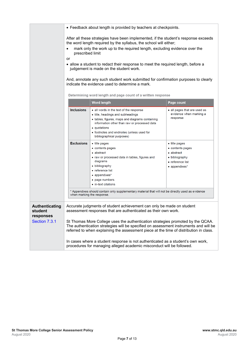|                                               | • Feedback about length is provided by teachers at checkpoints.<br>After all these strategies have been implemented, if the student's response exceeds<br>the word length required by the syllabus, the school will either;<br>mark only the work up to the required length, excluding evidence over the<br>٠<br>prescribed limit<br>or<br>• allow a student to redact their response to meet the required length, before a<br>judgement is made on the student work.<br>And, annotate any such student work submitted for confirmation purposes to clearly |                                                                                                                                                                                                                                                                           |                                                                                                                        |
|-----------------------------------------------|-------------------------------------------------------------------------------------------------------------------------------------------------------------------------------------------------------------------------------------------------------------------------------------------------------------------------------------------------------------------------------------------------------------------------------------------------------------------------------------------------------------------------------------------------------------|---------------------------------------------------------------------------------------------------------------------------------------------------------------------------------------------------------------------------------------------------------------------------|------------------------------------------------------------------------------------------------------------------------|
|                                               |                                                                                                                                                                                                                                                                                                                                                                                                                                                                                                                                                             |                                                                                                                                                                                                                                                                           |                                                                                                                        |
|                                               | indicate the evidence used to determine a mark.                                                                                                                                                                                                                                                                                                                                                                                                                                                                                                             |                                                                                                                                                                                                                                                                           |                                                                                                                        |
|                                               |                                                                                                                                                                                                                                                                                                                                                                                                                                                                                                                                                             | Determining word length and page count of a written response                                                                                                                                                                                                              |                                                                                                                        |
|                                               |                                                                                                                                                                                                                                                                                                                                                                                                                                                                                                                                                             | <b>Word length</b>                                                                                                                                                                                                                                                        | Page count                                                                                                             |
|                                               | <b>Inclusions</b>                                                                                                                                                                                                                                                                                                                                                                                                                                                                                                                                           | • all words in the text of the response<br>• title, headings and subheadings<br>• tables, figures, maps and diagrams containing<br>information other than raw or processed data<br>• quotations<br>• footnotes and endnotes (unless used for<br>bibliographical purposes) | $\bullet$ all pages that are used as<br>evidence when marking a<br>response                                            |
|                                               | <b>Exclusions</b>                                                                                                                                                                                                                                                                                                                                                                                                                                                                                                                                           | • title pages<br>$\bullet$ contents pages<br>• abstract<br>• raw or processed data in tables, figures and<br>diagrams<br>• bibliography<br>• reference list<br>• appendixes*<br>• page numbers<br>$\bullet$ in-text citations                                             | $\bullet$ title pages<br>$\bullet$ contents pages<br>• abstract<br>• bibliography<br>• reference list<br>• appendixes* |
|                                               | * Appendixes should contain only supplementary material that will not be directly used as evidence<br>when marking the response.                                                                                                                                                                                                                                                                                                                                                                                                                            |                                                                                                                                                                                                                                                                           |                                                                                                                        |
| <b>Authenticating</b><br>student<br>responses | Accurate judgments of student achievement can only be made on student<br>assessment responses that are authenticated as their own work.                                                                                                                                                                                                                                                                                                                                                                                                                     |                                                                                                                                                                                                                                                                           |                                                                                                                        |
| Section 7.3.1                                 | St Thomas More College uses the authentication strategies promoted by the QCAA.<br>The authentication strategies will be specified on assessment instruments and will be<br>referred to when explaining the assessment piece at the time of distribution in class.<br>In cases where a student response is not authenticated as a student's own work,<br>procedures for managing alleged academic misconduct will be followed.                                                                                                                              |                                                                                                                                                                                                                                                                           |                                                                                                                        |
|                                               |                                                                                                                                                                                                                                                                                                                                                                                                                                                                                                                                                             |                                                                                                                                                                                                                                                                           |                                                                                                                        |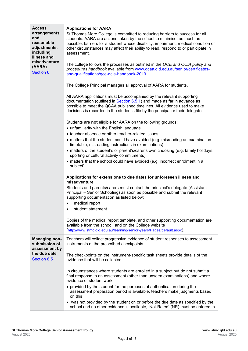| <b>Access</b><br>arrangements<br>and<br>reasonable<br>adjustments,<br>including<br>illness and<br>misadventure<br>(AARA)<br><b>Section 6</b> | <b>Applications for AARA</b><br>St Thomas More College is committed to reducing barriers to success for all<br>students. AARA are actions taken by the school to minimise, as much as<br>possible, barriers for a student whose disability, impairment, medical condition or<br>other circumstances may affect their ability to read, respond to or participate in<br>assessment.<br>The college follows the processes as outlined in the QCE and QCIA policy and<br>procedures handbook available from www.qcaa.qld.edu.au/senior/certificates-<br>and-qualifications/qce-qcia-handbook-2019.<br>The College Principal manages all approval of AARA for students.<br>All AARA applications must be accompanied by the relevant supporting<br>documentation (outlined in Section 6.5.1) and made as far in advance as<br>possible to meet the QCAA published timelines. All evidence used to make<br>decisions is recorded in the student's file by the principal or their delegate.<br>Students are not eligible for AARA on the following grounds:<br>• unfamiliarity with the English language<br>• teacher absence or other teacher-related issues<br>• matters that the student could have avoided (e.g. misreading an examination<br>timetable, misreading instructions in examinations)<br>• matters of the student's or parent's/carer's own choosing (e.g. family holidays,<br>sporting or cultural activity commitments)<br>• matters that the school could have avoided (e.g. incorrect enrolment in a<br>subject).<br>Applications for extensions to due dates for unforeseen illness and |
|----------------------------------------------------------------------------------------------------------------------------------------------|-------------------------------------------------------------------------------------------------------------------------------------------------------------------------------------------------------------------------------------------------------------------------------------------------------------------------------------------------------------------------------------------------------------------------------------------------------------------------------------------------------------------------------------------------------------------------------------------------------------------------------------------------------------------------------------------------------------------------------------------------------------------------------------------------------------------------------------------------------------------------------------------------------------------------------------------------------------------------------------------------------------------------------------------------------------------------------------------------------------------------------------------------------------------------------------------------------------------------------------------------------------------------------------------------------------------------------------------------------------------------------------------------------------------------------------------------------------------------------------------------------------------------------------------------------------------------------------------------------|
|                                                                                                                                              | misadventure<br>Students and parents/carers must contact the principal's delegate (Assistant<br>Principal – Senior Schooling) as soon as possible and submit the relevant<br>supporting documentation as listed below;<br>medical report<br>٠                                                                                                                                                                                                                                                                                                                                                                                                                                                                                                                                                                                                                                                                                                                                                                                                                                                                                                                                                                                                                                                                                                                                                                                                                                                                                                                                                         |
|                                                                                                                                              | student statement<br>$\bullet$                                                                                                                                                                                                                                                                                                                                                                                                                                                                                                                                                                                                                                                                                                                                                                                                                                                                                                                                                                                                                                                                                                                                                                                                                                                                                                                                                                                                                                                                                                                                                                        |
|                                                                                                                                              | Copies of the medical report template, and other supporting documentation are<br>available from the school, and on the College website<br>(http://www.stmc.qld.edu.au/learning/senior-years/Pages/default.aspx).                                                                                                                                                                                                                                                                                                                                                                                                                                                                                                                                                                                                                                                                                                                                                                                                                                                                                                                                                                                                                                                                                                                                                                                                                                                                                                                                                                                      |
| <b>Managing non-</b><br>submission of<br>assessment by                                                                                       | Teachers will collect progressive evidence of student responses to assessment<br>instruments at the prescribed checkpoints.                                                                                                                                                                                                                                                                                                                                                                                                                                                                                                                                                                                                                                                                                                                                                                                                                                                                                                                                                                                                                                                                                                                                                                                                                                                                                                                                                                                                                                                                           |
| the due date<br>Section 8.5                                                                                                                  | The checkpoints on the instrument-specific task sheets provide details of the<br>evidence that will be collected.                                                                                                                                                                                                                                                                                                                                                                                                                                                                                                                                                                                                                                                                                                                                                                                                                                                                                                                                                                                                                                                                                                                                                                                                                                                                                                                                                                                                                                                                                     |
|                                                                                                                                              | In circumstances where students are enrolled in a subject but do not submit a<br>final response to an assessment (other than unseen examinations) and where<br>evidence of student work:                                                                                                                                                                                                                                                                                                                                                                                                                                                                                                                                                                                                                                                                                                                                                                                                                                                                                                                                                                                                                                                                                                                                                                                                                                                                                                                                                                                                              |
|                                                                                                                                              | • provided by the student for the purposes of authentication during the<br>assessment preparation period is available, teachers make judgments based<br>on this                                                                                                                                                                                                                                                                                                                                                                                                                                                                                                                                                                                                                                                                                                                                                                                                                                                                                                                                                                                                                                                                                                                                                                                                                                                                                                                                                                                                                                       |
|                                                                                                                                              | • was not provided by the student on or before the due date as specified by the<br>school and no other evidence is available, 'Not-Rated' (NR) must be entered in                                                                                                                                                                                                                                                                                                                                                                                                                                                                                                                                                                                                                                                                                                                                                                                                                                                                                                                                                                                                                                                                                                                                                                                                                                                                                                                                                                                                                                     |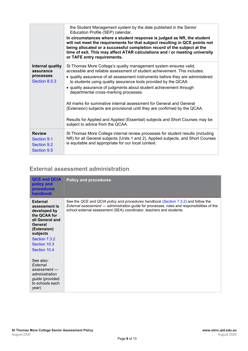|                                                             | the Student Management system by the date published in the Senior<br>Education Profile (SEP) calendar.<br>In circumstances where a student response is judged as NR, the student<br>will not meet the requirements for that subject resulting in QCE points not<br>being allocated or a successful completion record of the subject at the<br>time of exit. This may affect ATAR calculations and / or meeting university<br>or TAFE entry requirements.                                                                                                                                                                                                                                    |
|-------------------------------------------------------------|---------------------------------------------------------------------------------------------------------------------------------------------------------------------------------------------------------------------------------------------------------------------------------------------------------------------------------------------------------------------------------------------------------------------------------------------------------------------------------------------------------------------------------------------------------------------------------------------------------------------------------------------------------------------------------------------|
| Internal quality<br>assurance<br>processes<br>Section 8.5.3 | St Thomas More College's quality management system ensures valid,<br>accessible and reliable assessment of student achievement. This includes:<br>• quality assurance of all assessment instruments before they are administered<br>to students using quality assurance tools provided by the QCAA<br>• quality assurance of judgments about student achievement through<br>departmental cross-marking processes.<br>All marks for summative internal assessment for General and General<br>(Extension) subjects are provisional until they are confirmed by the QCAA.<br>Results for Applied and Applied (Essential) subjects and Short Courses may be<br>subject to advice from the QCAA. |
| <b>Review</b><br>Section 9.1<br>Section 9.2<br>Section 9.5  | St Thomas More College internal review processes for student results (including<br>NR) for all General subjects (Units 1 and 2), Applied subjects, and Short Courses<br>is equitable and appropriate for our local context.                                                                                                                                                                                                                                                                                                                                                                                                                                                                 |

### <span id="page-9-0"></span>**External assessment administration**

| <b>QCE and QCIA</b><br>policy and<br><b>procedures</b><br><b>handbook</b>                                                                                                  | <b>Policy and procedures</b>                                                                                                                                                                                                                                     |
|----------------------------------------------------------------------------------------------------------------------------------------------------------------------------|------------------------------------------------------------------------------------------------------------------------------------------------------------------------------------------------------------------------------------------------------------------|
| <b>External</b><br>assessment is<br>developed by<br>the QCAA for<br>all General and<br>General<br>(Extension)<br>subjects<br>Section 7.3.2<br>Section 10.3<br>Section 10.4 | See the QCE and QCIA policy and procedures handbook (Section 7.3.2) and follow the<br><i>External assessment — administration guide for processes, roles and responsibilities of the</i><br>school external assessment (SEA) coordinator, teachers and students. |
| See also:<br>External<br>assessment<br>administration<br><i>guide</i> (provided<br>to schools each<br>year)                                                                |                                                                                                                                                                                                                                                                  |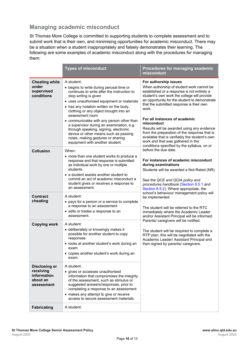#### <span id="page-10-0"></span>**Managing academic misconduct**

St Thomas More College is committed to supporting students to complete assessment and to submit work that is their own, and minimising opportunities for academic misconduct. There may be a situation when a student inappropriately and falsely demonstrates their learning. The following are some examples of academic misconduct along with the procedures for managing them:

|                                                                            | <b>Types of misconduct</b>                                                                                                                                                                                                                                                                                                                                                                                                                                                                                                              | Procedures for managing academic<br>misconduct                                                                                                                                                                                                                                                                                                                                                                                                                                                             |
|----------------------------------------------------------------------------|-----------------------------------------------------------------------------------------------------------------------------------------------------------------------------------------------------------------------------------------------------------------------------------------------------------------------------------------------------------------------------------------------------------------------------------------------------------------------------------------------------------------------------------------|------------------------------------------------------------------------------------------------------------------------------------------------------------------------------------------------------------------------------------------------------------------------------------------------------------------------------------------------------------------------------------------------------------------------------------------------------------------------------------------------------------|
| <b>Cheating while</b><br>under<br>supervised<br>conditions                 | A student:<br>• begins to write during perusal time or<br>continues to write after the instruction to<br>stop writing is given<br>• uses unauthorised equipment or materials<br>• has any notation written on the body,<br>clothing or any object brought into an<br>assessment room<br>• communicates with any person other than<br>a supervisor during an examination, e.g.<br>through speaking, signing, electronic<br>device or other means such as passing<br>notes, making gestures or sharing<br>equipment with another student. | For authorship issues<br>When authorship of student work cannot be<br>established or a response is not entirely a<br>student's own work the college will provide<br>an opportunity for the student to demonstrate<br>that the submitted response is their own<br>work.<br>For all instances of academic<br>misconduct<br>Results will be awarded using any evidence<br>from the preparation of the response that is<br>available that is verifiably the student's own<br>work and that was gathered in the |
| <b>Collusion</b>                                                           | When:<br>• more than one student works to produce a<br>response and that response is submitted<br>as individual work by one or multiple<br>students<br>• a student assists another student to<br>commit an act of academic misconduct a<br>student gives or receives a response to<br>an assessment.                                                                                                                                                                                                                                    | conditions specified by the syllabus, on or<br>before the due date.<br>For instances of academic misconduct<br>during examinations<br>Students will be awarded a Not-Rated (NR).<br>See the QCE and QCIA policy and<br>procedures handbook (Section 8.5.1 and<br>Section 8.5.2). Where appropriate, the<br>school's behaviour management policy will                                                                                                                                                       |
| <b>Contract</b><br>cheating                                                | A student:<br>• pays for a person or a service to complete<br>a response to an assessment<br>• sells or trades a response to an<br>assessment.                                                                                                                                                                                                                                                                                                                                                                                          | be implemented.<br>The student will be referred to the RTC<br>immediately where the Academic Leader<br>and/or Assistant Principal will be informed.                                                                                                                                                                                                                                                                                                                                                        |
| <b>Copying work</b>                                                        | A student:<br>• deliberately or knowingly makes it<br>possible for another student to copy<br>responses<br>• looks at another student's work during an<br>exam<br>• copies another student's work during an<br>exam.                                                                                                                                                                                                                                                                                                                    | Parents/ caregivers will be notified.<br>The student will be required to complete a<br>RTP plan, this will be negotiated with the<br>Academic Leader/ Assistant Principal and<br>then signed by parents/ caregivers.                                                                                                                                                                                                                                                                                       |
| <b>Disclosing or</b><br>receiving<br>information<br>about an<br>assessment | A student:<br>• gives or accesses unauthorised<br>information that compromises the integrity<br>of the assessment, such as stimulus or<br>suggested answers/responses, prior to<br>completing a response to an assessment<br>• makes any attempt to give or receive<br>access to secure assessment materials.                                                                                                                                                                                                                           |                                                                                                                                                                                                                                                                                                                                                                                                                                                                                                            |
| <b>Fabricating</b>                                                         | A student:                                                                                                                                                                                                                                                                                                                                                                                                                                                                                                                              |                                                                                                                                                                                                                                                                                                                                                                                                                                                                                                            |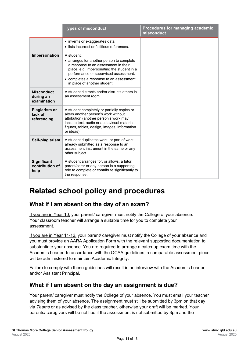|                                               | <b>Types of misconduct</b>                                                                                                                                                                                                                                        | Procedures for managing academic<br>misconduct |
|-----------------------------------------------|-------------------------------------------------------------------------------------------------------------------------------------------------------------------------------------------------------------------------------------------------------------------|------------------------------------------------|
|                                               | • invents or exaggerates data<br>• lists incorrect or fictitious references.                                                                                                                                                                                      |                                                |
| Impersonation                                 | A student:<br>• arranges for another person to complete<br>a response to an assessment in their<br>place, e.g. impersonating the student in a<br>performance or supervised assessment.<br>• completes a response to an assessment<br>in place of another student. |                                                |
| <b>Misconduct</b><br>during an<br>examination | A student distracts and/or disrupts others in<br>an assessment room.                                                                                                                                                                                              |                                                |
| Plagiarism or<br>lack of<br>referencing       | A student completely or partially copies or<br>alters another person's work without<br>attribution (another person's work may<br>include text, audio or audiovisual material.<br>figures, tables, design, images, information<br>or ideas).                       |                                                |
| Self-plagiarism                               | A student duplicates work, or part of work<br>already submitted as a response to an<br>assessment instrument in the same or any<br>other subject.                                                                                                                 |                                                |
| <b>Significant</b><br>contribution of<br>help | A student arranges for, or allows, a tutor,<br>parent/carer or any person in a supporting<br>role to complete or contribute significantly to<br>the response.                                                                                                     |                                                |

# <span id="page-11-0"></span>**Related school policy and procedures**

### <span id="page-11-1"></span>**What if I am absent on the day of an exam?**

If you are in Year 10, your parent/ caregiver must notify the College of your absence. Your classroom teacher will arrange a suitable time for you to complete your assessment.

If you are in Year 11-12, your parent/ caregiver must notify the College of your absence and you must provide an AARA Application Form with the relevant supporting documentation to substantiate your absence. You are required to arrange a catch-up exam time with the Academic Leader. In accordance with the QCAA guidelines, a comparable assessment piece will be administered to maintain Academic Integrity.

Failure to comply with these guidelines will result in an interview with the Academic Leader and/or Assistant Principal.

#### <span id="page-11-2"></span>**What if I am absent on the day an assignment is due?**

Your parent/ caregiver must notify the College of your absence. You must email your teacher advising them of your absence. The assignment must still be submitted by 3pm on that day via *Teams* or as advised by the class teacher, otherwise your draft will be marked. Your parents/ caregivers will be notified if the assessment is not submitted by 3pm and the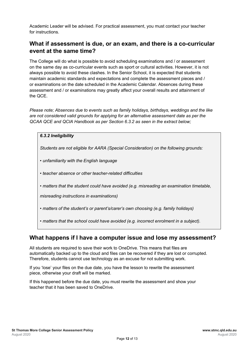Academic Leader will be advised. For practical assessment, you must contact your teacher for instructions.

#### <span id="page-12-0"></span>**What if assessment is due, or an exam, and there is a co-curricular event at the same time?**

The College will do what is possible to avoid scheduling examinations and / or assessment on the same day as co-curricular events such as sport or cultural activities. However, it is not always possible to avoid these clashes. In the Senior School, it is expected that students maintain academic standards and expectations and complete the assessment pieces and / or examinations on the date scheduled in the Academic Calendar. Absences during these assessment and / or examinations may greatly affect your overall results and attainment of the QCE.

*Please note; Absences due to events such as family holidays, birthdays, weddings and the like are not considered valid grounds for applying for an alternative assessment date as per the QCAA QCE and QCIA Handbook as per Section 6.3.2 as seen in the extract below;*

| 6.3.2 Ineligibility                                                                                                                  |
|--------------------------------------------------------------------------------------------------------------------------------------|
| Students are not eligible for AARA (Special Consideration) on the following grounds:                                                 |
| • unfamiliarity with the English language                                                                                            |
| • teacher absence or other teacher-related difficulties                                                                              |
| • matters that the student could have avoided (e.g. misreading an examination timetable,<br>misreading instructions in examinations) |
| • matters of the student's or parent's/carer's own choosing (e.g. family holidays)                                                   |
| • matters that the school could have avoided (e.g. incorrect enrolment in a subject).                                                |

#### <span id="page-12-1"></span>**What happens if I have a computer issue and lose my assessment?**

All students are required to save their work to OneDrive. This means that files are automatically backed up to the cloud and files can be recovered if they are lost or corrupted. Therefore, students cannot use technology as an excuse for not submitting work.

If you 'lose' your files on the due date, you have the lesson to rewrite the assessment piece, otherwise your draft will be marked.

If this happened before the due date, you must rewrite the assessment and show your teacher that it has been saved to OneDrive.